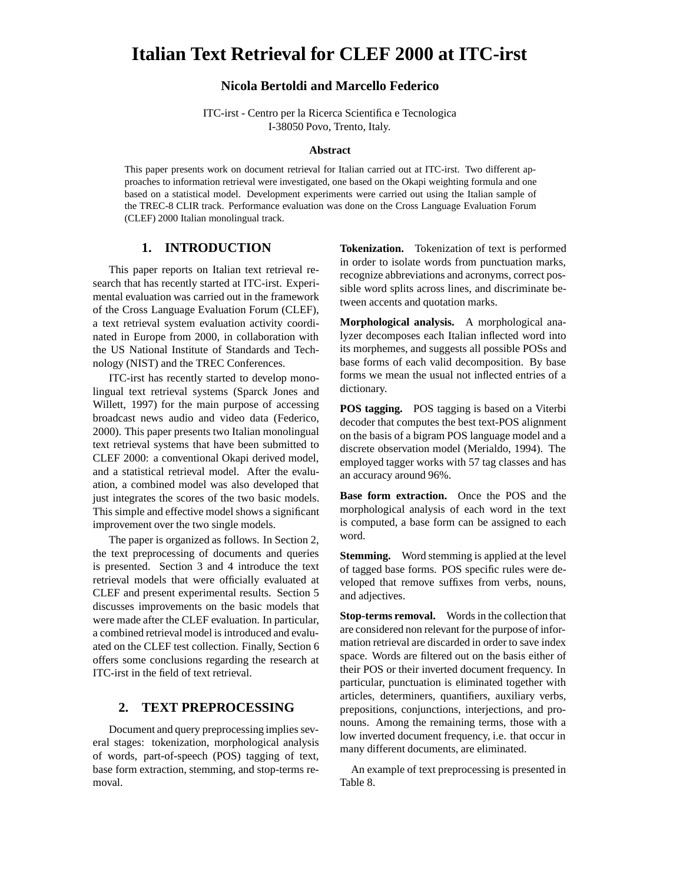# **Italian Text Retrieval for CLEF 2000 at ITC-irst**

# **Nicola Bertoldi and Marcello Federico**

ITC-irst - Centro per la Ricerca Scientifica e Tecnologica I-38050 Povo, Trento, Italy.

### **Abstract**

This paper presents work on document retrieval for Italian carried out at ITC-irst. Two different approaches to information retrieval were investigated, one based on the Okapi weighting formula and one based on a statistical model. Development experiments were carried out using the Italian sample of the TREC-8 CLIR track. Performance evaluation was done on the Cross Language Evaluation Forum (CLEF) 2000 Italian monolingual track.

# **1. INTRODUCTION**

This paper reports on Italian text retrieval research that has recently started at ITC-irst. Experimental evaluation was carried out in the framework of the Cross Language Evaluation Forum (CLEF), a text retrieval system evaluation activity coordinated in Europe from 2000, in collaboration with the US National Institute of Standards and Technology (NIST) and the TREC Conferences.

ITC-irst has recently started to develop monolingual text retrieval systems (Sparck Jones and Willett, 1997) for the main purpose of accessing broadcast news audio and video data (Federico, 2000). This paper presents two Italian monolingual text retrieval systems that have been submitted to CLEF 2000: a conventional Okapi derived model, and a statistical retrieval model. After the evaluation, a combined model was also developed that just integrates the scores of the two basic models. This simple and effective model shows a significant improvement over the two single models.

The paper is organized as follows. In Section 2, the text preprocessing of documents and queries is presented. Section 3 and 4 introduce the text retrieval models that were officially evaluated at CLEF and present experimental results. Section 5 discusses improvements on the basic models that were made after the CLEF evaluation. In particular, a combined retrieval model is introduced and evaluated on the CLEF test collection. Finally, Section 6 offers some conclusions regarding the research at ITC-irst in the field of text retrieval.

# **2. TEXT PREPROCESSING**

Document and query preprocessing implies several stages: tokenization, morphological analysis of words, part-of-speech (POS) tagging of text, base form extraction, stemming, and stop-terms removal.

**Tokenization.** Tokenization of text is performed in order to isolate words from punctuation marks, recognize abbreviations and acronyms, correct possible word splits across lines, and discriminate between accents and quotation marks.

**Morphological analysis.** A morphological analyzer decomposes each Italian inflected word into its morphemes, and suggests all possible POSs and base forms of each valid decomposition. By base forms we mean the usual not inflected entries of a dictionary.

**POS tagging.** POS tagging is based on a Viterbi decoder that computes the best text-POS alignment on the basis of a bigram POS language model and a discrete observation model (Merialdo, 1994). The employed tagger works with 57 tag classes and has an accuracy around 96%.

**Base form extraction.** Once the POS and the morphological analysis of each word in the text is computed, a base form can be assigned to each word.

**Stemming.** Word stemming is applied at the level of tagged base forms. POS specific rules were developed that remove suffixes from verbs, nouns, and adjectives.

**Stop-terms removal.** Words in the collection that are considered non relevant for the purpose of information retrieval are discarded in order to save index space. Words are filtered out on the basis either of their POS or their inverted document frequency. In particular, punctuation is eliminated together with articles, determiners, quantifiers, auxiliary verbs, prepositions, conjunctions, interjections, and pronouns. Among the remaining terms, those with a low inverted document frequency, i.e. that occur in many different documents, are eliminated.

An example of text preprocessing is presented in Table 8.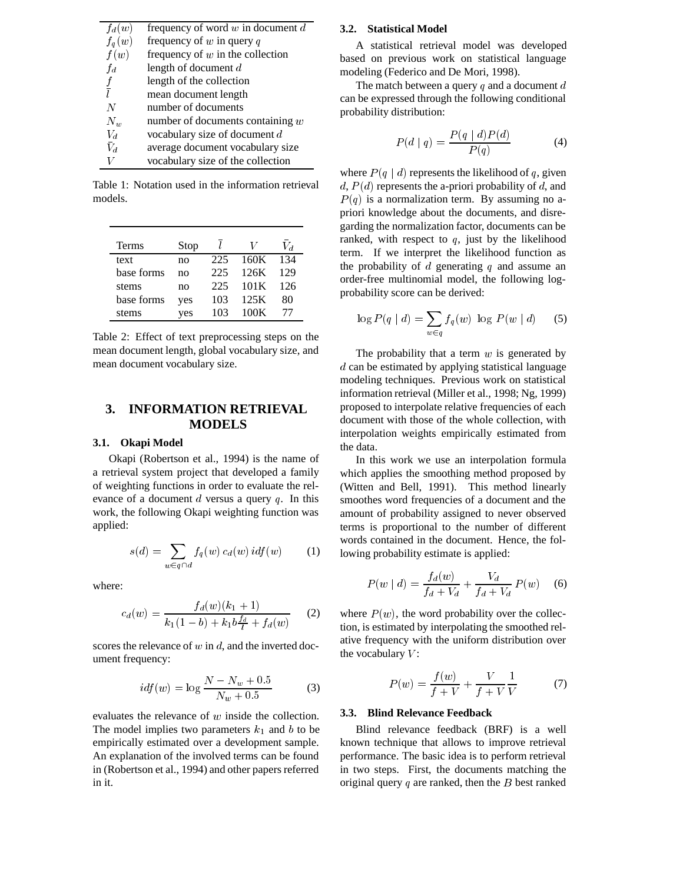| $f_d(w)$                 | frequency of word $w$ in document $d$ | 3.2.  |
|--------------------------|---------------------------------------|-------|
| $f_q(w)$                 | frequency of $w$ in query $q$         | A     |
| f(w)                     | frequency of $w$ in the collection    | base  |
| $f_d$                    | length of document $d$                | mod   |
| $\frac{f}{\overline{l}}$ | length of the collection              | Т     |
|                          | mean document length                  | can b |
| N                        | number of documents                   | prob  |
| $N_w$                    | number of documents containing $w$    |       |
|                          | vocabulary size of document $d$       |       |
| $\frac{V_d}{\bar{V}_d}$  | average document vocabulary size      |       |
|                          | vocabulary size of the collection     |       |
|                          |                                       |       |

Table 1: Notation used in the information retrieval models.

| Terms      | Stop |     |       | Və  |
|------------|------|-----|-------|-----|
| text       | no   | 225 | 160K  | 134 |
| base forms | no   | 225 | 126K  | 129 |
| stems      | no   | 225 | 101 K | 126 |
| base forms | yes  | 103 | 125K  | 80  |
| stems      | yes  | 103 |       |     |

Table 2: Effect of text preprocessing steps on the mean document length, global vocabulary size, and mean document vocabulary size.

# **3. INFORMATION RETRIEVAL MODELS**

## **3.1. Okapi Model**

Okapi (Robertson et al., 1994) is the name of a retrieval system project that developed a family of weighting functions in order to evaluate the relevance of a document  $d$  versus a query  $q$ . In this work, the following Okapi weighting function was applied:

$$
s(d) = \sum_{w \in q \cap d} f_q(w) c_d(w) idf(w) \qquad (1)
$$

where:

$$
c_d(w) = \frac{f_d(w)(k_1 + 1)}{k_1(1 - b) + k_1 b \frac{f_d}{l} + f_d(w)}
$$
 (2)

scores the relevance of  $w$  in  $d$ , and the inverted document frequency:

$$
i df(w) = \log \frac{N - N_w + 0.5}{N_w + 0.5}
$$
 (3)

evaluates the relevance of w inside the collection. The model implies two parameters  $k_1$  and b to be empirically estimated over a development sample. An explanation of the involved terms can be found in (Robertson et al., 1994) and other papers referred in it.

#### **3.2. Statistical Model**

A statistical retrieval model was developed based on previous work on statistical language modeling (Federico and De Mori, 1998).

The match between a query q and a document  $d$ can be expressed through the following conditional probability distribution:

$$
P(d \mid q) = \frac{P(q \mid d)P(d)}{P(q)}\tag{4}
$$

where  $P(q \mid d)$  represents the likelihood of q, given  $d, P(d)$  represents the a-priori probability of d, and  $P(q)$  is a normalization term. By assuming no apriori knowledge about the documents, and disregarding the normalization factor, documents can be ranked, with respect to  $q$ , just by the likelihood term. If we interpret the likelihood function as the probability of  $d$  generating  $q$  and assume an order-free multinomial model, the following logprobability score can be derived:

$$
\log P(q \mid d) = \sum_{w \in q} f_q(w) \log P(w \mid d) \qquad (5)
$$

The probability that a term  $w$  is generated by d can be estimated by applying statistical language modeling techniques. Previous work on statistical information retrieval (Miller et al., 1998; Ng, 1999) proposed to interpolate relative frequencies of each document with those of the whole collection, with interpolation weights empirically estimated from the data.

In this work we use an interpolation formula which applies the smoothing method proposed by (Witten and Bell, 1991). This method linearly smoothes word frequencies of a document and the amount of probability assigned to never observed terms is proportional to the number of different words contained in the document. Hence, the following probability estimate is applied:

$$
P(w \mid d) = \frac{f_d(w)}{f_d + V_d} + \frac{V_d}{f_d + V_d} P(w) \quad (6)
$$

where  $P(w)$ , the word probability over the collection, is estimated by interpolating the smoothed relative frequency with the uniform distribution over the vocabulary  $V$ :

$$
P(w) = \frac{f(w)}{f + V} + \frac{V}{f + V} \frac{1}{V}
$$
 (7)

#### **3.3. Blind Relevance Feedback**

Blind relevance feedback (BRF) is a well known technique that allows to improve retrieval performance. The basic idea is to perform retrieval in two steps. First, the documents matching the original query q are ranked, then the  $B$  best ranked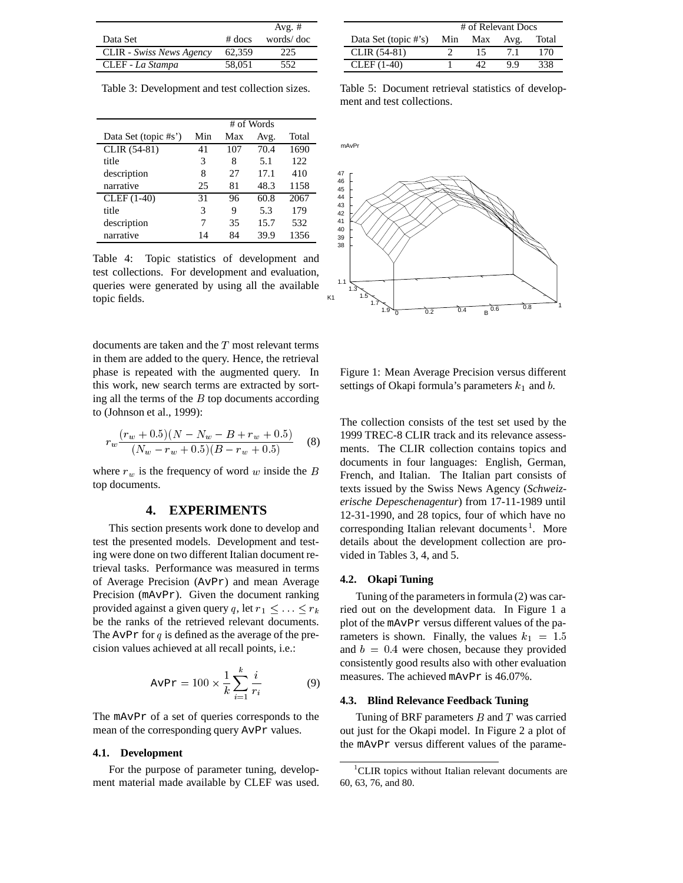|                                 |          | Avg. $#$  |
|---------------------------------|----------|-----------|
| Data Set                        | $#$ docs | words/doc |
| <b>CLIR</b> - Swiss News Agency | 62,359   | 225       |
| CLEF - La Stampa                | 58.051   | 552       |

Table 3: Development and test collection sizes.

|                      | # of Words |     |      |       |
|----------------------|------------|-----|------|-------|
| Data Set (topic #s') | Min        | Max | Avg. | Total |
| CLIR (54-81)         | 41         | 107 | 70.4 | 1690  |
| title                | 3          | 8   | 5.1  | 122   |
| description          | 8          | 27  | 17.1 | 410   |
| narrative            | 25         | 81  | 48.3 | 1158  |
| $CLEF(1-40)$         | 31         | 96  | 60.8 | 2067  |
| title                | 3          | 9   | 5.3  | 179   |
| description          | 7          | 35  | 15.7 | 532   |
| narrative            | 14         | 84  | 39.9 | 1356  |

Table 4: Topic statistics of development and test collections. For development and evaluation, queries were generated by using all the available topic fields.

documents are taken and the  $T$  most relevant terms in them are added to the query. Hence, the retrieval phase is repeated with the augmented query. In this work, new search terms are extracted by sorting all the terms of the  $B$  top documents according to (Johnson et al., 1999):

$$
r_w \frac{(r_w + 0.5)(N - N_w - B + r_w + 0.5)}{(N_w - r_w + 0.5)(B - r_w + 0.5)}
$$
 (8)

where  $r_w$  is the frequency of word w inside the B top documents.

## **4. EXPERIMENTS**

This section presents work done to develop and test the presented models. Development and testing were done on two different Italian document retrieval tasks. Performance was measured in terms of Average Precision (AvPr) and mean Average Precision (mAvPr). Given the document ranking provided against a given query q, let  $r_1 < \ldots < r_k$ be the ranks of the retrieved relevant documents. The AvP $\mathbf r$  for q is defined as the average of the precision values achieved at all recall points, i.e.:

$$
AvPr = 100 \times \frac{1}{k} \sum_{i=1}^{k} \frac{i}{r_i}
$$
 (9)   
measu

The mAvPr of a set of queries corresponds to the mean of the corresponding query AvPr values.

## **4.1. Development**

For the purpose of parameter tuning, development material made available by CLEF was used.

|                      | # of Relevant Docs |     |      |       |
|----------------------|--------------------|-----|------|-------|
| Data Set (topic #'s) | Min                | Max | Avg. | Total |
| CLIR (54-81)         |                    | 15  | 71   | 170   |
| $CLEF(1-40)$         |                    |     | 99   | 338   |

Table 5: Document retrieval statistics of development and test collections.

mAvPr



Figure 1: Mean Average Precision versus different settings of Okapi formula's parameters  $k_1$  and b.

The collection consists of the test set used by the 1999 TREC-8 CLIR track and its relevance assessments. The CLIR collection contains topics and documents in four languages: English, German, French, and Italian. The Italian part consists of texts issued by the Swiss News Agency (*Schweizerische Depeschenagentur*) from 17-11-1989 until 12-31-1990, and 28 topics, four of which have no corresponding Italian relevant documents<sup>1</sup>. More details about the development collection are provided in Tables 3, 4, and 5.

### **4.2. Okapi Tuning**

Tuning of the parameters in formula (2) was carried out on the development data. In Figure 1 a plot of the mAvPr versus different values of the parameters is shown. Finally, the values  $k_1 = 1.5$ and  $b = 0.4$  were chosen, because they provided consistently good results also with other evaluation measures. The achieved mAvPr is 46.07%.

#### **4.3. Blind Relevance Feedback Tuning**

Tuning of BRF parameters  $B$  and  $T$  was carried out just for the Okapi model. In Figure 2 a plot of the mAvPr versus different values of the parame-

<sup>&</sup>lt;sup>1</sup>CLIR topics without Italian relevant documents are 60, 63, 76, and 80.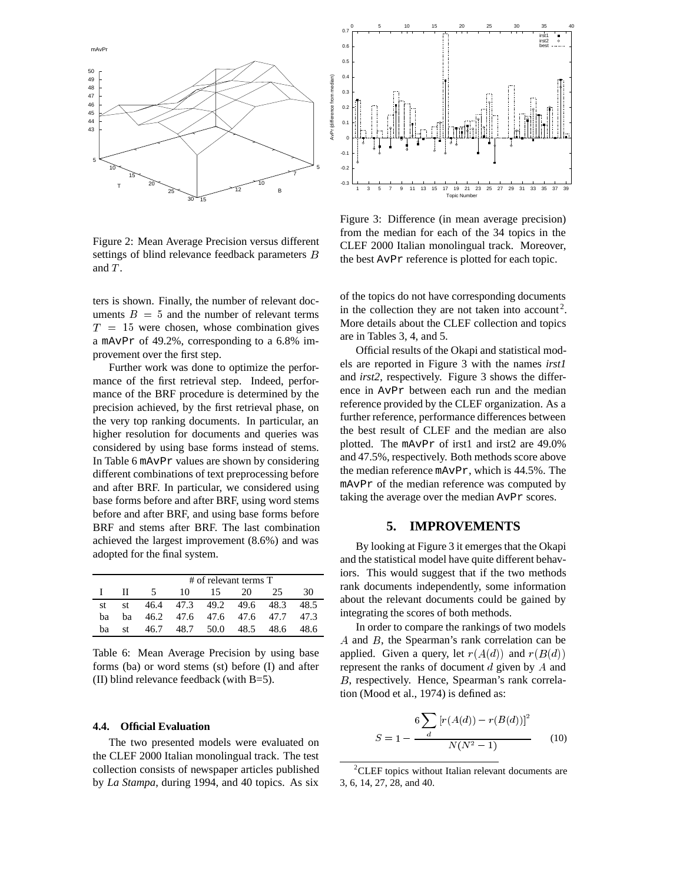

Figure 2: Mean Average Precision versus different settings of blind relevance feedback parameters B and  $T$ .

ters is shown. Finally, the number of relevant documents  $B = 5$  and the number of relevant terms  $T = 15$  were chosen, whose combination gives a mAvPr of 49.2%, corresponding to a 6.8% improvement over the first step.

Further work was done to optimize the performance of the first retrieval step. Indeed, performance of the BRF procedure is determined by the precision achieved, by the first retrieval phase, on the very top ranking documents. In particular, an higher resolution for documents and queries was considered by using base forms instead of stems. In Table 6 mAvPr values are shown by considering different combinations of text preprocessing before and after BRF. In particular, we considered using base forms before and after BRF, using word stems before and after BRF, and using base forms before BRF and stems after BRF. The last combination achieved the largest improvement (8.6%) and was adopted for the final system.

|    |    | # of relevant terms T |      |                     |      |      |      |
|----|----|-----------------------|------|---------------------|------|------|------|
|    | ш  | $\sim$                | 10   | 15.                 | 20   | 25   | 30   |
| st | st | 46.4                  |      | 47.3 49.2 49.6 48.3 |      |      | 48.5 |
| ba | bа | 46.2                  |      | 47.6 47.6 47.6 47.7 |      |      | 47.3 |
| ba | st | 46.7                  | 48.7 | 50.0                | 48.5 | 48.6 | 48.6 |

Table 6: Mean Average Precision by using base forms (ba) or word stems (st) before (I) and after (II) blind relevance feedback (with B=5).

#### **4.4. Official Evaluation**

The two presented models were evaluated on the CLEF 2000 Italian monolingual track. The test collection consists of newspaper articles published by *La Stampa*, during 1994, and 40 topics. As six



Figure 3: Difference (in mean average precision) from the median for each of the 34 topics in the CLEF 2000 Italian monolingual track. Moreover, the best AvPr reference is plotted for each topic.

of the topics do not have corresponding documents in the collection they are not taken into account<sup>2</sup>. More details about the CLEF collection and topics are in Tables 3, 4, and 5.

Official results of the Okapi and statistical models are reported in Figure 3 with the names *irst1* and *irst2*, respectively. Figure 3 shows the difference in AvPr between each run and the median reference provided by the CLEF organization. As a further reference, performance differences between the best result of CLEF and the median are also plotted. The mAvPr of irst1 and irst2 are 49.0% and 47.5%, respectively. Both methods score above the median reference mAvPr, which is 44.5%. The mAvPr of the median reference was computed by taking the average over the median AvPr scores.

## **5. IMPROVEMENTS**

By looking at Figure 3 it emerges that the Okapi and the statistical model have quite different behaviors. This would suggest that if the two methods rank documents independently, some information about the relevant documents could be gained by integrating the scores of both methods.

In order to compare the rankings of two models A and B, the Spearman's rank correlation can be applied. Given a query, let  $r(A(d))$  and  $r(B(d))$ represent the ranks of document d given by A and B, respectively. Hence, Spearman's rank correlation (Mood et al., 1974) is defined as:

$$
S = 1 - \frac{6\sum_{d} [r(A(d)) - r(B(d))]^{2}}{N(N^{2} - 1)}
$$
(10)

 ${}^{2}$ CLEF topics without Italian relevant documents are 3, 6, 14, 27, 28, and 40.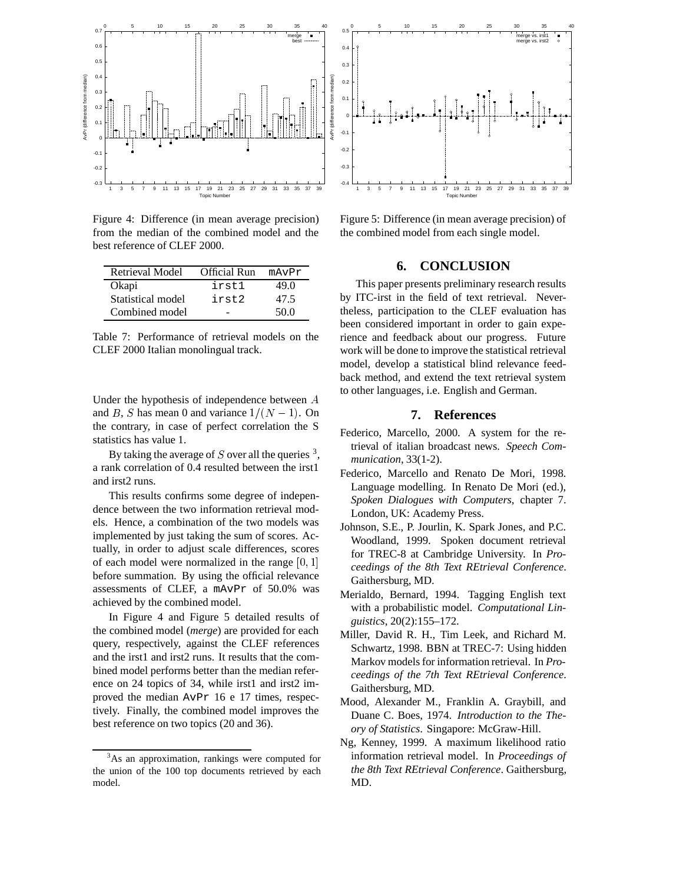

Figure 4: Difference (in mean average precision) from the median of the combined model and the best reference of CLEF 2000.

| <b>Retrieval Model</b> | Official Run | mAvPr |
|------------------------|--------------|-------|
| Okapi                  | irst1        | 49.0  |
| Statistical model      | irst2        | 47.5  |
| Combined model         |              | 50.0  |

Table 7: Performance of retrieval models on the CLEF 2000 Italian monolingual track.

Under the hypothesis of independence between A and B, S has mean 0 and variance  $1/(N - 1)$ . On the contrary, in case of perfect correlation the S statistics has value 1.

By taking the average of S over all the queries  $3$ , a rank correlation of 0.4 resulted between the irst1 and irst2 runs.

This results confirms some degree of independence between the two information retrieval models. Hence, a combination of the two models was implemented by just taking the sum of scores. Actually, in order to adjust scale differences, scores of each model were normalized in the range  $[0, 1]$ before summation. By using the official relevance assessments of CLEF, a mAvPr of 50.0% was achieved by the combined model.

In Figure 4 and Figure 5 detailed results of the combined model (*merge*) are provided for each query, respectively, against the CLEF references and the irst1 and irst2 runs. It results that the combined model performs better than the median reference on 24 topics of 34, while irst1 and irst2 improved the median AvPr 16 e 17 times, respectively. Finally, the combined model improves the best reference on two topics (20 and 36).



Figure 5: Difference (in mean average precision) of the combined model from each single model.

## **6. CONCLUSION**

This paper presents preliminary research results by ITC-irst in the field of text retrieval. Nevertheless, participation to the CLEF evaluation has been considered important in order to gain experience and feedback about our progress. Future work will be done to improve the statistical retrieval model, develop a statistical blind relevance feedback method, and extend the text retrieval system to other languages, i.e. English and German.

## **7. References**

- Federico, Marcello, 2000. A system for the retrieval of italian broadcast news. *Speech Communication*, 33(1-2).
- Federico, Marcello and Renato De Mori, 1998. Language modelling. In Renato De Mori (ed.), *Spoken Dialogues with Computers*, chapter 7. London, UK: Academy Press.
- Johnson, S.E., P. Jourlin, K. Spark Jones, and P.C. Woodland, 1999. Spoken document retrieval for TREC-8 at Cambridge University. In *Proceedings of the 8th Text REtrieval Conference*. Gaithersburg, MD.
- Merialdo, Bernard, 1994. Tagging English text with a probabilistic model. *Computational Linguistics*, 20(2):155–172.
- Miller, David R. H., Tim Leek, and Richard M. Schwartz, 1998. BBN at TREC-7: Using hidden Markov models for information retrieval. In *Proceedings of the 7th Text REtrieval Conference*. Gaithersburg, MD.
- Mood, Alexander M., Franklin A. Graybill, and Duane C. Boes, 1974. *Introduction to the Theory of Statistics*. Singapore: McGraw-Hill.
- Ng, Kenney, 1999. A maximum likelihood ratio information retrieval model. In *Proceedings of the 8th Text REtrieval Conference*. Gaithersburg, MD.

<sup>&</sup>lt;sup>3</sup>As an approximation, rankings were computed for the union of the 100 top documents retrieved by each model.